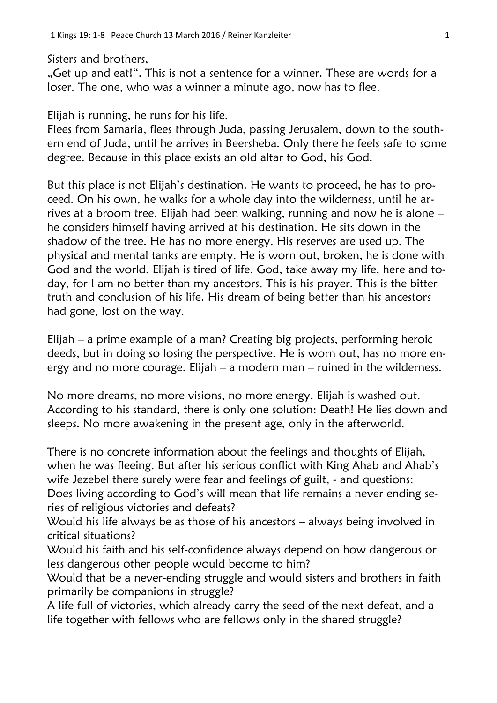Sisters and brothers,

"Get up and eat!". This is not a sentence for a winner. These are words for a loser. The one, who was a winner a minute ago, now has to flee.

Elijah is running, he runs for his life.

Flees from Samaria, flees through Juda, passing Jerusalem, down to the southern end of Juda, until he arrives in Beersheba. Only there he feels safe to some degree. Because in this place exists an old altar to God, his God.

But this place is not Elijah's destination. He wants to proceed, he has to proceed. On his own, he walks for a whole day into the wilderness, until he arrives at a broom tree. Elijah had been walking, running and now he is alone – he considers himself having arrived at his destination. He sits down in the shadow of the tree. He has no more energy. His reserves are used up. The physical and mental tanks are empty. He is worn out, broken, he is done with God and the world. Elijah is tired of life. God, take away my life, here and today, for I am no better than my ancestors. This is his prayer. This is the bitter truth and conclusion of his life. His dream of being better than his ancestors had gone, lost on the way.

Elijah – a prime example of a man? Creating big projects, performing heroic deeds, but in doing so losing the perspective. He is worn out, has no more energy and no more courage. Elijah – a modern man – ruined in the wilderness.

No more dreams, no more visions, no more energy. Elijah is washed out. According to his standard, there is only one solution: Death! He lies down and sleeps. No more awakening in the present age, only in the afterworld.

There is no concrete information about the feelings and thoughts of Elijah, when he was fleeing. But after his serious conflict with King Ahab and Ahab's wife Jezebel there surely were fear and feelings of guilt, - and questions: Does living according to God's will mean that life remains a never ending se-

ries of religious victories and defeats?

Would his life always be as those of his ancestors – always being involved in critical situations?

Would his faith and his self-confidence always depend on how dangerous or less dangerous other people would become to him?

Would that be a never-ending struggle and would sisters and brothers in faith primarily be companions in struggle?

A life full of victories, which already carry the seed of the next defeat, and a life together with fellows who are fellows only in the shared struggle?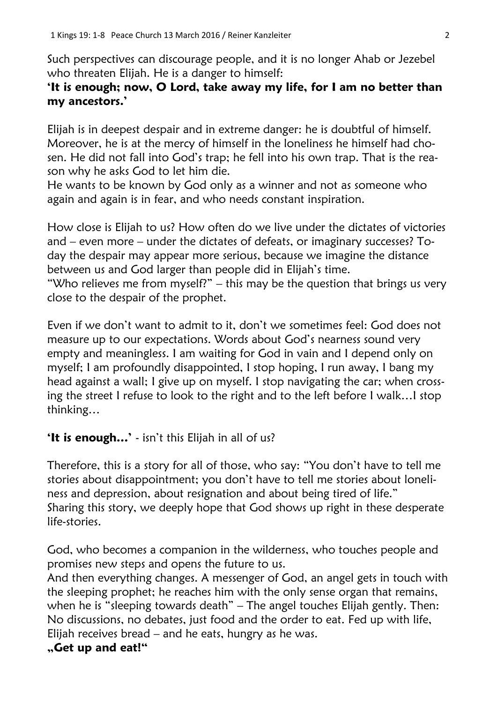Such perspectives can discourage people, and it is no longer Ahab or Jezebel who threaten Elijah. He is a danger to himself:

## **'It is enough; now, O Lord, take away my life, for I am no better than my ancestors.'**

Elijah is in deepest despair and in extreme danger: he is doubtful of himself. Moreover, he is at the mercy of himself in the loneliness he himself had chosen. He did not fall into God's trap; he fell into his own trap. That is the reason why he asks God to let him die.

He wants to be known by God only as a winner and not as someone who again and again is in fear, and who needs constant inspiration.

How close is Elijah to us? How often do we live under the dictates of victories and – even more – under the dictates of defeats, or imaginary successes? Today the despair may appear more serious, because we imagine the distance between us and God larger than people did in Elijah's time.

"Who relieves me from myself?" – this may be the question that brings us very close to the despair of the prophet.

Even if we don't want to admit to it, don't we sometimes feel: God does not measure up to our expectations. Words about God's nearness sound very empty and meaningless. I am waiting for God in vain and I depend only on myself; I am profoundly disappointed, I stop hoping, I run away, I bang my head against a wall; I give up on myself. I stop navigating the car; when crossing the street I refuse to look to the right and to the left before I walk…I stop thinking…

## **'It is enough…'** - isn't this Elijah in all of us?

Therefore, this is a story for all of those, who say: "You don't have to tell me stories about disappointment; you don't have to tell me stories about loneliness and depression, about resignation and about being tired of life." Sharing this story, we deeply hope that God shows up right in these desperate life-stories.

God, who becomes a companion in the wilderness, who touches people and promises new steps and opens the future to us.

And then everything changes. A messenger of God, an angel gets in touch with the sleeping prophet; he reaches him with the only sense organ that remains, when he is "sleeping towards death" – The angel touches Elijah gently. Then: No discussions, no debates, just food and the order to eat. Fed up with life, Elijah receives bread – and he eats, hungry as he was.

## **"Get up and eat!"**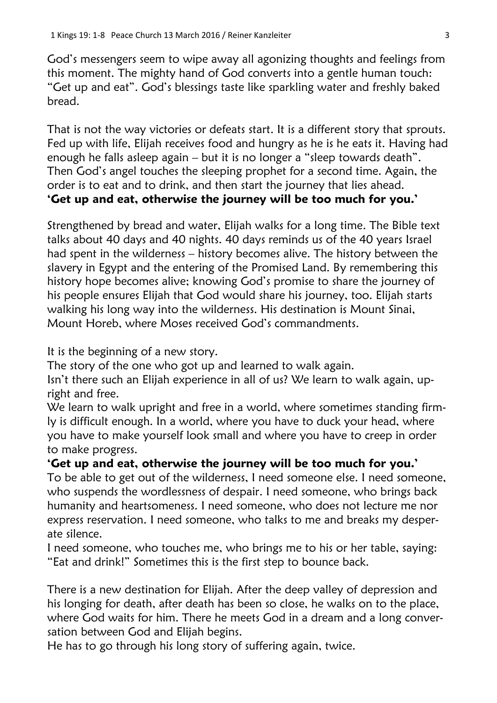God's messengers seem to wipe away all agonizing thoughts and feelings from this moment. The mighty hand of God converts into a gentle human touch: "Get up and eat". God's blessings taste like sparkling water and freshly baked bread.

That is not the way victories or defeats start. It is a different story that sprouts. Fed up with life, Elijah receives food and hungry as he is he eats it. Having had enough he falls asleep again – but it is no longer a "sleep towards death". Then God's angel touches the sleeping prophet for a second time. Again, the order is to eat and to drink, and then start the journey that lies ahead.

## **'Get up and eat, otherwise the journey will be too much for you.'**

Strengthened by bread and water, Elijah walks for a long time. The Bible text talks about 40 days and 40 nights. 40 days reminds us of the 40 years Israel had spent in the wilderness – history becomes alive. The history between the slavery in Egypt and the entering of the Promised Land. By remembering this history hope becomes alive; knowing God's promise to share the journey of his people ensures Elijah that God would share his journey, too. Elijah starts walking his long way into the wilderness. His destination is Mount Sinai, Mount Horeb, where Moses received God's commandments.

It is the beginning of a new story.

The story of the one who got up and learned to walk again.

Isn't there such an Elijah experience in all of us? We learn to walk again, upright and free.

We learn to walk upright and free in a world, where sometimes standing firmly is difficult enough. In a world, where you have to duck your head, where you have to make yourself look small and where you have to creep in order to make progress.

**'Get up and eat, otherwise the journey will be too much for you.'**

To be able to get out of the wilderness, I need someone else. I need someone, who suspends the wordlessness of despair. I need someone, who brings back humanity and heartsomeness. I need someone, who does not lecture me nor express reservation. I need someone, who talks to me and breaks my desperate silence.

I need someone, who touches me, who brings me to his or her table, saying: "Eat and drink!" Sometimes this is the first step to bounce back.

There is a new destination for Elijah. After the deep valley of depression and his longing for death, after death has been so close, he walks on to the place, where God waits for him. There he meets God in a dream and a long conversation between God and Elijah begins.

He has to go through his long story of suffering again, twice.